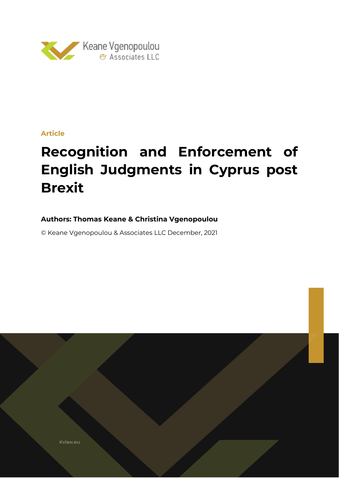

## **Article**

# **Recognition and Enforcement of English Judgments in Cyprus post Brexit**

# **Authors: Thomas Keane & Christina Vgenopoulou**

© Keane Vgenopoulou & Associates LLC December, 2021

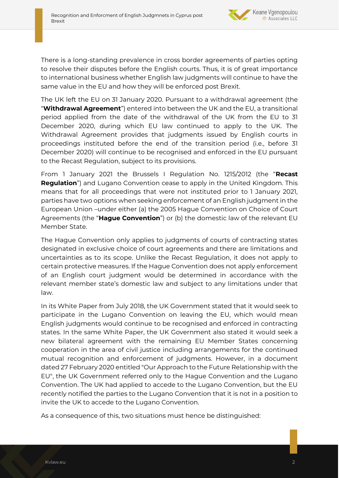

There is a long-standing prevalence in cross border agreements of parties opting to resolve their disputes before the English courts. Thus, it is of great importance to international business whether English law judgments will continue to have the same value in the EU and how they will be enforced post Brexit.

The UK left the EU on 31 January 2020. Pursuant to a withdrawal agreement (the "**Withdrawal Agreement**") entered into between the UK and the EU, a transitional period applied from the date of the withdrawal of the UK from the EU to 31 December 2020, during which EU law continued to apply to the UK. The Withdrawal Agreement provides that judgments issued by English courts in proceedings instituted before the end of the transition period (i.e., before 31 December 2020) will continue to be recognised and enforced in the EU pursuant to the Recast Regulation, subject to its provisions.

From 1 January 2021 the Brussels I Regulation No. 1215/2012 (the "**Recast Regulation**") and Lugano Convention cease to apply in the United Kingdom. This means that for all proceedings that were not instituted prior to 1 January 2021, parties have two options when seeking enforcement of an English judgment in the European Union –under either (a) the 2005 Hague Convention on Choice of Court Agreements (the "**Hague Convention**") or (b) the domestic law of the relevant EU Member State.

The Hague Convention only applies to judgments of courts of contracting states designated in exclusive choice of court agreements and there are limitations and uncertainties as to its scope. Unlike the Recast Regulation, it does not apply to certain protective measures. If the Hague Convention does not apply enforcement of an English court judgment would be determined in accordance with the relevant member state's domestic law and subject to any limitations under that law.

In its White Paper from July 2018, the UK Government stated that it would seek to participate in the Lugano Convention on leaving the EU, which would mean English judgments would continue to be recognised and enforced in contracting states. In the same White Paper, the UK Government also stated it would seek a new bilateral agreement with the remaining EU Member States concerning cooperation in the area of civil justice including arrangements for the continued mutual recognition and enforcement of judgments. However, in a document dated 27 February 2020 entitled "Our Approach to the Future Relationship with the EU", the UK Government referred only to the Hague Convention and the Lugano Convention. The UK had applied to accede to the Lugano Convention, but the EU recently notified the parties to the Lugano Convention that it is not in a position to invite the UK to accede to the Lugano Convention.

As a consequence of this, two situations must hence be distinguished: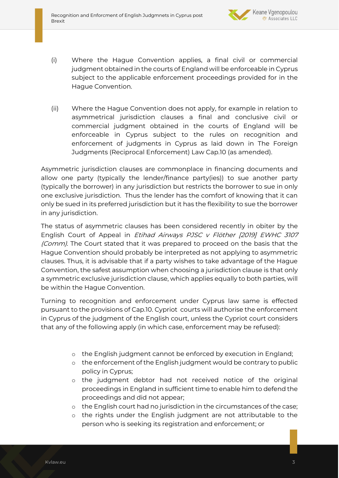

- (i) Where the Hague Convention applies, a final civil or commercial judgment obtained in the courts of England will be enforceable in Cyprus subject to the applicable enforcement proceedings provided for in the Hague Convention.
- (ii) Where the Hague Convention does not apply, for example in relation to asymmetrical jurisdiction clauses a final and conclusive civil or commercial judgment obtained in the courts of England will be enforceable in Cyprus subject to the rules on recognition and enforcement of judgments in Cyprus as laid down in The Foreign Judgments (Reciprocal Enforcement) Law Cap.10 (as amended).

Asymmetric jurisdiction clauses are commonplace in financing documents and allow one party (typically the lender/finance party(ies)) to sue another party (typically the borrower) in any jurisdiction but restricts the borrower to sue in only one exclusive jurisdiction. Thus the lender has the comfort of knowing that it can only be sued in its preferred jurisdiction but it has the flexibility to sue the borrower in any jurisdiction.

The status of asymmetric clauses has been considered recently in obiter by the English Court of Appeal in Etihad Airways PJSC v Flöther [2019] EWHC 3107 (Comm). The Court stated that it was prepared to proceed on the basis that the Hague Convention should probably be interpreted as not applying to asymmetric clauses. Thus, it is advisable that if a party wishes to take advantage of the Hague Convention, the safest assumption when choosing a jurisdiction clause is that only a symmetric exclusive jurisdiction clause, which applies equally to both parties, will be within the Hague Convention.

Turning to recognition and enforcement under Cyprus law same is effected pursuant to the provisions of Cap.10. Cypriot courts will authorise the enforcement in Cyprus of the judgment of the English court, unless the Cypriot court considers that any of the following apply (in which case, enforcement may be refused):

- o the English judgment cannot be enforced by execution in England;
- o the enforcement of the English judgment would be contrary to public policy in Cyprus;
- o the judgment debtor had not received notice of the original proceedings in England in sufficient time to enable him to defend the proceedings and did not appear;
- o the English court had no jurisdiction in the circumstances of the case;
- o the rights under the English judgment are not attributable to the person who is seeking its registration and enforcement; or